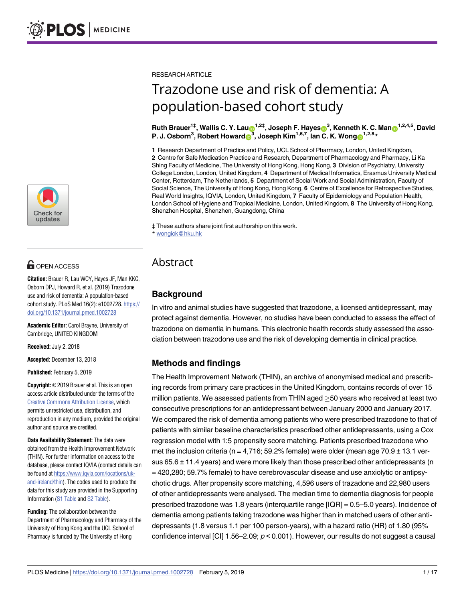

## **OPEN ACCESS**

**Citation:** Brauer R, Lau WCY, Hayes JF, Man KKC, Osborn DPJ, Howard R, et al. (2019) Trazodone use and risk of dementia: A population-based cohort study. PLoS Med 16(2): e1002728. [https://](https://doi.org/10.1371/journal.pmed.1002728) [doi.org/10.1371/journal.pmed.1002728](https://doi.org/10.1371/journal.pmed.1002728)

**Academic Editor:** Carol Brayne, University of Cambridge, UNITED KINGDOM

**Received:** July 2, 2018

**Accepted:** December 13, 2018

**Published:** February 5, 2019

**Copyright:** © 2019 Brauer et al. This is an open access article distributed under the terms of the Creative Commons [Attribution](http://creativecommons.org/licenses/by/4.0/) License, which permits unrestricted use, distribution, and reproduction in any medium, provided the original author and source are credited.

**Data Availability Statement:** The data were obtained from the Health Improvement Network (THIN). For further information on access to the database, please contact IQVIA (contact details can be found at [https://www.iqvia.com/locations/uk](https://www.iqvia.com/locations/uk-and-ireland/thin)[and-ireland/thin](https://www.iqvia.com/locations/uk-and-ireland/thin)). The codes used to produce the data for this study are provided in the Supporting Information (S1 [Table](#page-13-0) and S2 [Table\)](#page-13-0).

**Funding:** The collaboration between the Department of Pharmacology and Pharmacy of the University of Hong Kong and the UCL School of Pharmacy is funded by The University of Hong

RESEARCH ARTICLE

# Trazodone use and risk of dementia: A population-based cohort study

Ruth Brauer<sup>1‡</sup>, Wallis C. Y. Lau⋒<sup>1,2‡</sup>, Joseph F. Hayes⋒<sup>3</sup>, Kenneth K. C. Man⋒<sup>1,2,4,5</sup>, David **P. J. Osborn<sup>3</sup>, Robert Howard<sup>3</sup></del>, Joseph Kim<sup>1,6,7</sup>, Ian C. K. Wong<sup>1,2,8</sup>\*** 

**1** Research Department of Practice and Policy, UCL School of Pharmacy, London, United Kingdom, **2** Centre for Safe Medication Practice and Research, Department of Pharmacology and Pharmacy, Li Ka Shing Faculty of Medicine, The University of Hong Kong, Hong Kong, **3** Division of Psychiatry, University College London, London, United Kingdom, **4** Department of Medical Informatics, Erasmus University Medical Center, Rotterdam, The Netherlands, **5** Department of Social Work and Social Administration, Faculty of Social Science, The University of Hong Kong, Hong Kong, **6** Centre of Excellence for Retrospective Studies, Real World Insights, IQVIA, London, United Kingdom, **7** Faculty of Epidemiology and Population Health, London School of Hygiene and Tropical Medicine, London, United Kingdom, **8** The University of Hong Kong, Shenzhen Hospital, Shenzhen, Guangdong, China

‡ These authors share joint first authorship on this work. \* wongick@hku.hk

## Abstract

## **Background**

In vitro and animal studies have suggested that trazodone, a licensed antidepressant, may protect against dementia. However, no studies have been conducted to assess the effect of trazodone on dementia in humans. This electronic health records study assessed the association between trazodone use and the risk of developing dementia in clinical practice.

## **Methods and findings**

The Health Improvement Network (THIN), an archive of anonymised medical and prescribing records from primary care practices in the United Kingdom, contains records of over 15 million patients. We assessed patients from THIN aged  $\geq$ 50 years who received at least two consecutive prescriptions for an antidepressant between January 2000 and January 2017. We compared the risk of dementia among patients who were prescribed trazodone to that of patients with similar baseline characteristics prescribed other antidepressants, using a Cox regression model with 1:5 propensity score matching. Patients prescribed trazodone who met the inclusion criteria (n = 4,716; 59.2% female) were older (mean age 70.9  $\pm$  13.1 versus  $65.6 \pm 11.4$  years) and were more likely than those prescribed other antidepressants (n = 420,280; 59.7% female) to have cerebrovascular disease and use anxiolytic or antipsychotic drugs. After propensity score matching, 4,596 users of trazadone and 22,980 users of other antidepressants were analysed. The median time to dementia diagnosis for people prescribed trazodone was 1.8 years (interquartile range [IQR] = 0.5–5.0 years). Incidence of dementia among patients taking trazodone was higher than in matched users of other antidepressants (1.8 versus 1.1 per 100 person-years), with a hazard ratio (HR) of 1.80 (95% confidence interval [CI] 1.56–2.09;  $p < 0.001$ ). However, our results do not suggest a causal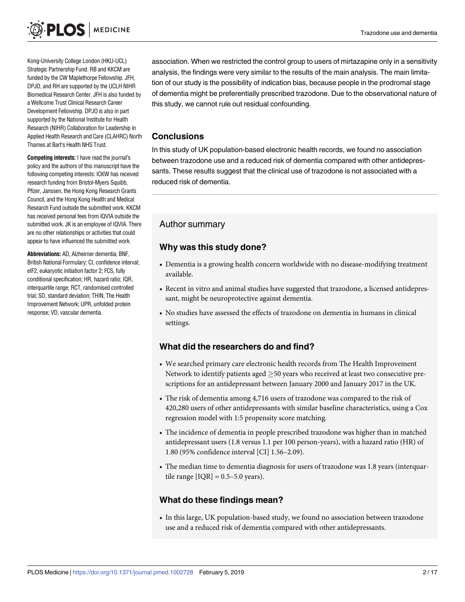Kong-University College London (HKU-UCL) Strategic Partnership Fund. RB and KKCM are funded by the CW Maplethorpe Fellowship. JFH, DPJO, and RH are supported by the UCLH NIHR Biomedical Research Center. JFH is also funded by a Wellcome Trust Clinical Research Career Development Fellowship. DPJO is also in part supported by the National Institute for Health Research (NIHR) Collaboration for Leadership in Applied Health Research and Care (CLAHRC) North Thames at Bart's Health NHS Trust.

**Competing interests:** I have read the journal's policy and the authors of this manuscript have the following competing interests: ICKW has received research funding from Bristol-Myers Squibb, Pfizer, Janssen, the Hong Kong Research Grants Council, and the Hong Kong Health and Medical Research Fund outside the submitted work. KKCM has received personal fees from IQVIA outside the submitted work. JK is an employee of IQVIA. There are no other relationships or activities that could appear to have influenced the submitted work.

**Abbreviations:** AD, Alzheimer dementia; BNF, British National Formulary; CI, confidence interval; eIF2, eukaryotic initiation factor 2; FCS, fully conditional specification; HR, hazard ratio; IQR, interquartile range; RCT, randomised controlled trial; SD, standard deviation; THIN, The Health Improvement Network; UPR, unfolded protein response; VD, vascular dementia.

association. When we restricted the control group to users of mirtazapine only in a sensitivity analysis, the findings were very similar to the results of the main analysis. The main limitation of our study is the possibility of indication bias, because people in the prodromal stage of dementia might be preferentially prescribed trazodone. Due to the observational nature of this study, we cannot rule out residual confounding.

### **Conclusions**

In this study of UK population-based electronic health records, we found no association between trazodone use and a reduced risk of dementia compared with other antidepressants. These results suggest that the clinical use of trazodone is not associated with a reduced risk of dementia.

## Author summary

### **Why was this study done?**

- Dementia is a growing health concern worldwide with no disease-modifying treatment available.
- Recent in vitro and animal studies have suggested that trazodone, a licensed antidepressant, might be neuroprotective against dementia.
- No studies have assessed the effects of trazodone on dementia in humans in clinical settings.

## **What did the researchers do and find?**

- We searched primary care electronic health records from The Health Improvement Network to identify patients aged  $\geq$ 50 years who received at least two consecutive prescriptions for an antidepressant between January 2000 and January 2017 in the UK.
- The risk of dementia among 4,716 users of trazodone was compared to the risk of 420,280 users of other antidepressants with similar baseline characteristics, using a Cox regression model with 1:5 propensity score matching.
- The incidence of dementia in people prescribed trazodone was higher than in matched antidepressant users (1.8 versus 1.1 per 100 person-years), with a hazard ratio (HR) of 1.80 (95% confidence interval [CI] 1.56–2.09).
- The median time to dementia diagnosis for users of trazodone was 1.8 years (interquartile range  $[IQR] = 0.5 - 5.0$  years).

#### **What do these findings mean?**

• In this large, UK population-based study, we found no association between trazodone use and a reduced risk of dementia compared with other antidepressants.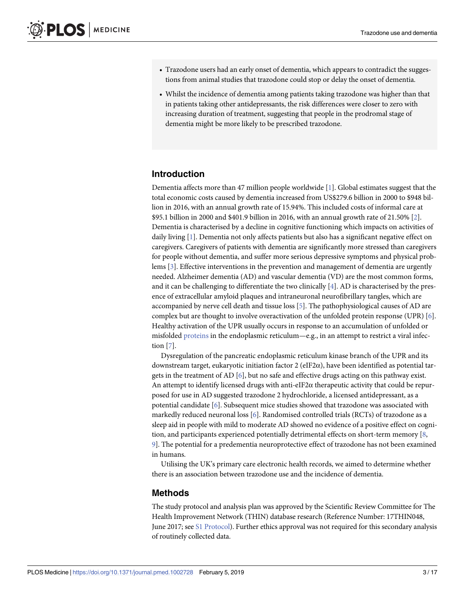- <span id="page-2-0"></span>• Trazodone users had an early onset of dementia, which appears to contradict the suggestions from animal studies that trazodone could stop or delay the onset of dementia.
- Whilst the incidence of dementia among patients taking trazodone was higher than that in patients taking other antidepressants, the risk differences were closer to zero with increasing duration of treatment, suggesting that people in the prodromal stage of dementia might be more likely to be prescribed trazodone.

#### **Introduction**

Dementia affects more than 47 million people worldwide [\[1\]](#page-14-0). Global estimates suggest that the total economic costs caused by dementia increased from US\$279.6 billion in 2000 to \$948 billion in 2016, with an annual growth rate of 15.94%. This included costs of informal care at \$95.1 billion in 2000 and \$401.9 billion in 2016, with an annual growth rate of 21.50% [\[2\]](#page-14-0). Dementia is characterised by a decline in cognitive functioning which impacts on activities of daily living [[1](#page-14-0)]. Dementia not only affects patients but also has a significant negative effect on caregivers. Caregivers of patients with dementia are significantly more stressed than caregivers for people without dementia, and suffer more serious depressive symptoms and physical problems [\[3\]](#page-14-0). Effective interventions in the prevention and management of dementia are urgently needed. Alzheimer dementia (AD) and vascular dementia (VD) are the most common forms, and it can be challenging to differentiate the two clinically [\[4\]](#page-14-0). AD is characterised by the presence of extracellular amyloid plaques and intraneuronal neurofibrillary tangles, which are accompanied by nerve cell death and tissue loss [[5\]](#page-14-0). The pathophysiological causes of AD are complex but are thought to involve overactivation of the unfolded protein response (UPR) [\[6\]](#page-14-0). Healthy activation of the UPR usually occurs in response to an accumulation of unfolded or misfolded [proteins](https://en.wikipedia.org/wiki/Protein) in the endoplasmic reticulum—e.g., in an attempt to restrict a viral infection [[7\]](#page-14-0).

Dysregulation of the pancreatic endoplasmic reticulum kinase branch of the UPR and its downstream target, eukaryotic initiation factor 2 (eIF2 $\alpha$ ), have been identified as potential targets in the treatment of AD [\[6\]](#page-14-0), but no safe and effective drugs acting on this pathway exist. An attempt to identify licensed drugs with anti-eIF2 $\alpha$  therapeutic activity that could be repurposed for use in AD suggested trazodone 2 hydrochloride, a licensed antidepressant, as a potential candidate [\[6\]](#page-14-0). Subsequent mice studies showed that trazodone was associated with markedly reduced neuronal loss [\[6\]](#page-14-0). Randomised controlled trials (RCTs) of trazodone as a sleep aid in people with mild to moderate AD showed no evidence of a positive effect on cognition, and participants experienced potentially detrimental effects on short-term memory [\[8](#page-14-0), [9\]](#page-14-0). The potential for a predementia neuroprotective effect of trazodone has not been examined in humans.

Utilising the UK's primary care electronic health records, we aimed to determine whether there is an association between trazodone use and the incidence of dementia.

#### **Methods**

The study protocol and analysis plan was approved by the Scientific Review Committee for The Health Improvement Network (THIN) database research (Reference Number: 17THIN048, June 2017; see S1 [Protocol\)](#page-13-0). Further ethics approval was not required for this secondary analysis of routinely collected data.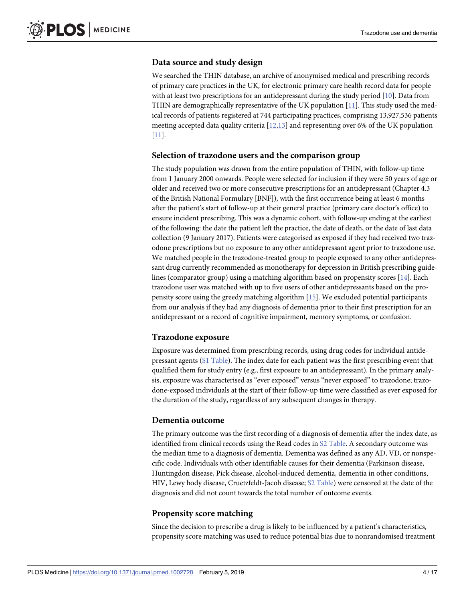#### <span id="page-3-0"></span>**Data source and study design**

We searched the THIN database, an archive of anonymised medical and prescribing records of primary care practices in the UK, for electronic primary care health record data for people with at least two prescriptions for an antidepressant during the study period [[10](#page-14-0)]. Data from THIN are demographically representative of the UK population [[11](#page-14-0)]. This study used the medical records of patients registered at 744 participating practices, comprising 13,927,536 patients meeting accepted data quality criteria  $[12,13]$  and representing over 6% of the UK population [\[11\]](#page-14-0).

#### **Selection of trazodone users and the comparison group**

The study population was drawn from the entire population of THIN, with follow-up time from 1 January 2000 onwards. People were selected for inclusion if they were 50 years of age or older and received two or more consecutive prescriptions for an antidepressant (Chapter 4.3 of the British National Formulary [BNF]), with the first occurrence being at least 6 months after the patient's start of follow-up at their general practice (primary care doctor's office) to ensure incident prescribing. This was a dynamic cohort, with follow-up ending at the earliest of the following: the date the patient left the practice, the date of death, or the date of last data collection (9 January 2017). Patients were categorised as exposed if they had received two trazodone prescriptions but no exposure to any other antidepressant agent prior to trazodone use. We matched people in the trazodone-treated group to people exposed to any other antidepressant drug currently recommended as monotherapy for depression in British prescribing guidelines (comparator group) using a matching algorithm based on propensity scores [\[14\]](#page-15-0). Each trazodone user was matched with up to five users of other antidepressants based on the propensity score using the greedy matching algorithm [\[15\]](#page-15-0). We excluded potential participants from our analysis if they had any diagnosis of dementia prior to their first prescription for an antidepressant or a record of cognitive impairment, memory symptoms, or confusion.

#### **Trazodone exposure**

Exposure was determined from prescribing records, using drug codes for individual antidepressant agents (S1 [Table](#page-13-0)). The index date for each patient was the first prescribing event that qualified them for study entry (e.g., first exposure to an antidepressant). In the primary analysis, exposure was characterised as "ever exposed" versus "never exposed" to trazodone; trazodone-exposed individuals at the start of their follow-up time were classified as ever exposed for the duration of the study, regardless of any subsequent changes in therapy.

#### **Dementia outcome**

The primary outcome was the first recording of a diagnosis of dementia after the index date, as identified from clinical records using the Read codes in S2 [Table](#page-13-0). A secondary outcome was the median time to a diagnosis of dementia. Dementia was defined as any AD, VD, or nonspecific code. Individuals with other identifiable causes for their dementia (Parkinson disease, Huntingdon disease, Pick disease, alcohol-induced dementia, dementia in other conditions, HIV, Lewy body disease, Cruetzfeldt-Jacob disease; S2 [Table](#page-13-0)) were censored at the date of the diagnosis and did not count towards the total number of outcome events.

#### **Propensity score matching**

Since the decision to prescribe a drug is likely to be influenced by a patient's characteristics, propensity score matching was used to reduce potential bias due to nonrandomised treatment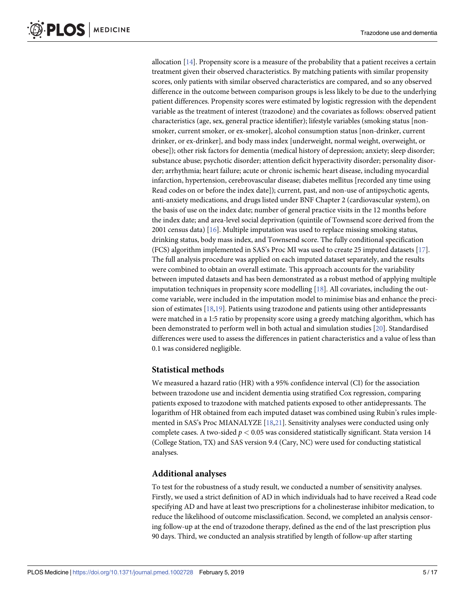<span id="page-4-0"></span>allocation [[14](#page-15-0)]. Propensity score is a measure of the probability that a patient receives a certain treatment given their observed characteristics. By matching patients with similar propensity scores, only patients with similar observed characteristics are compared, and so any observed difference in the outcome between comparison groups is less likely to be due to the underlying patient differences. Propensity scores were estimated by logistic regression with the dependent variable as the treatment of interest (trazodone) and the covariates as follows: observed patient characteristics (age, sex, general practice identifier); lifestyle variables (smoking status [nonsmoker, current smoker, or ex-smoker], alcohol consumption status [non-drinker, current drinker, or ex-drinker], and body mass index [underweight, normal weight, overweight, or obese]); other risk factors for dementia (medical history of depression; anxiety; sleep disorder; substance abuse; psychotic disorder; attention deficit hyperactivity disorder; personality disorder; arrhythmia; heart failure; acute or chronic ischemic heart disease, including myocardial infarction, hypertension, cerebrovascular disease; diabetes mellitus [recorded any time using Read codes on or before the index date]); current, past, and non-use of antipsychotic agents, anti-anxiety medications, and drugs listed under BNF Chapter 2 (cardiovascular system), on the basis of use on the index date; number of general practice visits in the 12 months before the index date; and area-level social deprivation (quintile of Townsend score derived from the 2001 census data) [[16](#page-15-0)]. Multiple imputation was used to replace missing smoking status, drinking status, body mass index, and Townsend score. The fully conditional specification (FCS) algorithm implemented in SAS's Proc MI was used to create 25 imputed datasets [\[17\]](#page-15-0). The full analysis procedure was applied on each imputed dataset separately, and the results were combined to obtain an overall estimate. This approach accounts for the variability between imputed datasets and has been demonstrated as a robust method of applying multiple imputation techniques in propensity score modelling  $[18]$  $[18]$  $[18]$ . All covariates, including the outcome variable, were included in the imputation model to minimise bias and enhance the precision of estimates [[18,19\]](#page-15-0). Patients using trazodone and patients using other antidepressants were matched in a 1:5 ratio by propensity score using a greedy matching algorithm, which has been demonstrated to perform well in both actual and simulation studies [[20](#page-15-0)]. Standardised differences were used to assess the differences in patient characteristics and a value of less than 0.1 was considered negligible.

#### **Statistical methods**

We measured a hazard ratio (HR) with a 95% confidence interval (CI) for the association between trazodone use and incident dementia using stratified Cox regression, comparing patients exposed to trazodone with matched patients exposed to other antidepressants. The logarithm of HR obtained from each imputed dataset was combined using Rubin's rules implemented in SAS's Proc MIANALYZE [\[18,21\]](#page-15-0). Sensitivity analyses were conducted using only complete cases. A two-sided *p <* 0.05 was considered statistically significant. Stata version 14 (College Station, TX) and SAS version 9.4 (Cary, NC) were used for conducting statistical analyses.

#### **Additional analyses**

To test for the robustness of a study result, we conducted a number of sensitivity analyses. Firstly, we used a strict definition of AD in which individuals had to have received a Read code specifying AD and have at least two prescriptions for a cholinesterase inhibitor medication, to reduce the likelihood of outcome misclassification. Second, we completed an analysis censoring follow-up at the end of trazodone therapy, defined as the end of the last prescription plus 90 days. Third, we conducted an analysis stratified by length of follow-up after starting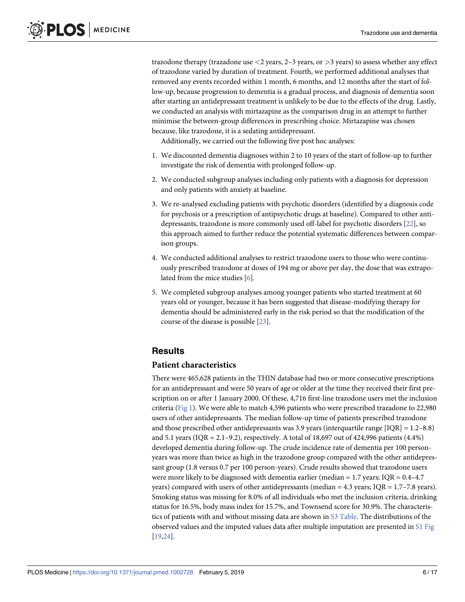<span id="page-5-0"></span>trazodone therapy (trazadone use *<*2 years, 2–3 years, or *>*3 years) to assess whether any effect of trazodone varied by duration of treatment. Fourth, we performed additional analyses that removed any events recorded within 1 month, 6 months, and 12 months after the start of follow-up, because progression to dementia is a gradual process, and diagnosis of dementia soon after starting an antidepressant treatment is unlikely to be due to the effects of the drug. Lastly, we conducted an analysis with mirtazapine as the comparison drug in an attempt to further minimise the between-group differences in prescribing choice. Mirtazapine was chosen because, like trazodone, it is a sedating antidepressant.

Additionally, we carried out the following five post hoc analyses:

- 1. We discounted dementia diagnoses within 2 to 10 years of the start of follow-up to further investigate the risk of dementia with prolonged follow-up.
- 2. We conducted subgroup analyses including only patients with a diagnosis for depression and only patients with anxiety at baseline.
- 3. We re-analysed excluding patients with psychotic disorders (identified by a diagnosis code for psychosis or a prescription of antipsychotic drugs at baseline). Compared to other antidepressants, trazodone is more commonly used off-label for psychotic disorders [[22](#page-15-0)], so this approach aimed to further reduce the potential systematic differences between comparison groups.
- 4. We conducted additional analyses to restrict trazodone users to those who were continuously prescribed trazodone at doses of 194 mg or above per day, the dose that was extrapolated from the mice studies [\[6\]](#page-14-0).
- 5. We completed subgroup analyses among younger patients who started treatment at 60 years old or younger, because it has been suggested that disease-modifying therapy for dementia should be administered early in the risk period so that the modification of the course of the disease is possible [\[23\]](#page-15-0).

#### **Results**

#### **Patient characteristics**

There were 465,628 patients in the THIN database had two or more consecutive prescriptions for an antidepressant and were 50 years of age or older at the time they received their first prescription on or after 1 January 2000. Of these, 4,716 first-line trazodone users met the inclusion criteria [\(Fig](#page-6-0) 1). We were able to match 4,596 patients who were prescribed trazadone to 22,980 users of other antidepressants. The median follow-up time of patients prescribed trazodone and those prescribed other antidepressants was 3.9 years (interquartile range [IQR] = 1.2–8.8) and 5.1 years (IQR = 2.1-9.2), respectively. A total of 18,697 out of 424,996 patients (4.4%) developed dementia during follow-up. The crude incidence rate of dementia per 100 personyears was more than twice as high in the trazodone group compared with the other antidepressant group (1.8 versus 0.7 per 100 person-years). Crude results showed that trazodone users were more likely to be diagnosed with dementia earlier (median =  $1.7$  years; IQR =  $0.4-4.7$ years) compared with users of other antidepressants (median  $= 4.3$  years; IQR  $= 1.7 - 7.8$  years). Smoking status was missing for 8.0% of all individuals who met the inclusion criteria, drinking status for 16.5%, body mass index for 15.7%, and Townsend score for 30.9%. The characteristics of patients with and without missing data are shown in S3 [Table.](#page-13-0) The distributions of the observed values and the imputed values data after multiple imputation are presented in S1 [Fig](#page-13-0) [\[19,24\]](#page-15-0).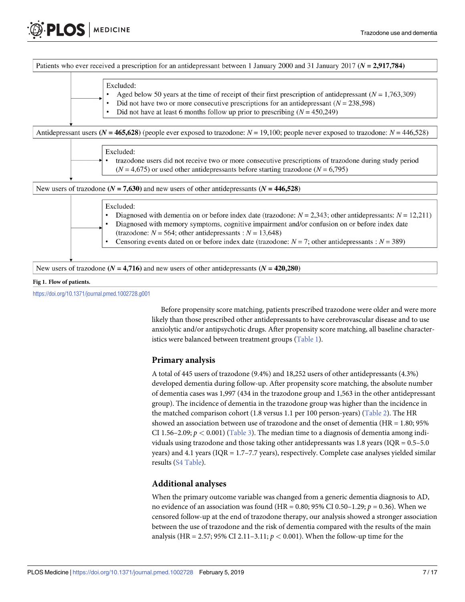<span id="page-6-0"></span>**MEDICINE** 

Patients who ever received a prescription for an antidepressant between 1 January 2000 and 31 January 2017 ( $N = 2.917,784$ )

- Excluded:
- Aged below 50 years at the time of receipt of their first prescription of antidepressant ( $N = 1,763,309$ )
- Did not have two or more consecutive prescriptions for an antidepressant  $(N = 238,598)$
- Did not have at least 6 months follow up prior to prescribing  $(N = 450,249)$

Antidepressant users ( $N = 465,628$ ) (people ever exposed to trazodone:  $N = 19,100$ ; people never exposed to trazodone:  $N = 446,528$ )

Excluded: trazodone users did not receive two or more consecutive prescriptions of trazodone during study period  $(N = 4,675)$  or used other antidepressants before starting trazodone ( $N = 6,795$ )

New users of trazodone ( $N = 7,630$ ) and new users of other antidepressants ( $N = 446,528$ )

|  | Excluded:<br>Diagnosed with dementia on or before index date (trazodone: $N = 2,343$ ; other antidepressants: $N = 12,211$ )<br>Diagnosed with memory symptoms, cognitive impairment and/or confusion on or before index date<br>(trazodone: $N = 564$ ; other antidepressants : $N = 13,648$ )<br>Censoring events dated on or before index date (trazodone: $N = 7$ ; other antidepressants : $N = 389$ ) |
|--|-------------------------------------------------------------------------------------------------------------------------------------------------------------------------------------------------------------------------------------------------------------------------------------------------------------------------------------------------------------------------------------------------------------|
|  |                                                                                                                                                                                                                                                                                                                                                                                                             |

New users of trazodone ( $N = 4,716$ ) and new users of other antidepressants ( $N = 420,280$ )

#### **[Fig](#page-5-0) 1. Flow of patients.**

<https://doi.org/10.1371/journal.pmed.1002728.g001>

Before propensity score matching, patients prescribed trazodone were older and were more likely than those prescribed other antidepressants to have cerebrovascular disease and to use anxiolytic and/or antipsychotic drugs. After propensity score matching, all baseline characteristics were balanced between treatment groups ([Table](#page-7-0) 1).

#### **Primary analysis**

A total of 445 users of trazodone (9.4%) and 18,252 users of other antidepressants (4.3%) developed dementia during follow-up. After propensity score matching, the absolute number of dementia cases was 1,997 (434 in the trazodone group and 1,563 in the other antidepressant group). The incidence of dementia in the trazodone group was higher than the incidence in the matched comparison cohort (1.8 versus 1.1 per 100 person-years) [\(Table](#page-8-0) 2). The HR showed an association between use of trazodone and the onset of dementia (HR = 1.80; 95% CI 1.56–2.09;  $p < 0.001$  [\(Table](#page-9-0) 3). The median time to a diagnosis of dementia among individuals using trazodone and those taking other antidepressants was  $1.8$  years (IQR =  $0.5-5.0$ ) years) and 4.1 years (IQR = 1.7–7.7 years), respectively. Complete case analyses yielded similar results (S4 [Table](#page-13-0)).

#### **Additional analyses**

When the primary outcome variable was changed from a generic dementia diagnosis to AD, no evidence of an association was found (HR = 0.80; 95% CI 0.50–1.29; *p* = 0.36). When we censored follow-up at the end of trazodone therapy, our analysis showed a stronger association between the use of trazodone and the risk of dementia compared with the results of the main analysis (HR = 2.57; 95% CI 2.11-3.11;  $p < 0.001$ ). When the follow-up time for the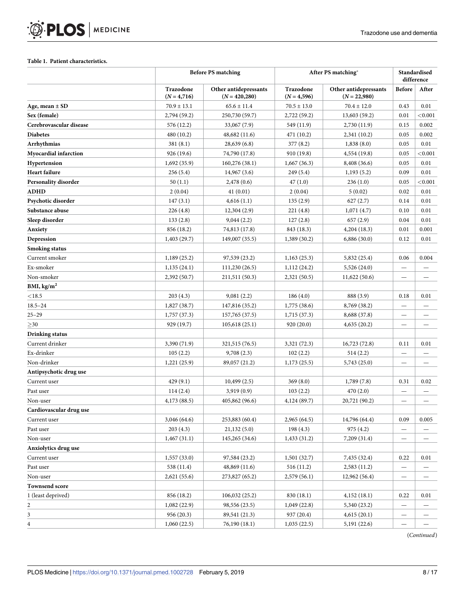#### **[Table](#page-6-0) 1. Patient characteristics.**

<span id="page-7-0"></span>DI MEDICINE

|                              |                            | <b>Before PS matching</b>                |                             | After PS matching*                      |                          |                          |
|------------------------------|----------------------------|------------------------------------------|-----------------------------|-----------------------------------------|--------------------------|--------------------------|
|                              | Trazodone<br>$(N = 4,716)$ | Other antidepressants<br>$(N = 420,280)$ | Trazodone<br>$(N = 4, 596)$ | Other antidepressants<br>$(N = 22,980)$ | <b>Before</b>            | After                    |
| Age, mean $\pm$ SD           | $70.9 \pm 13.1$            | $65.6 \pm 11.4$                          | $70.5 \pm 13.0$             | $70.4 \pm 12.0$                         | 0.43                     | 0.01                     |
| Sex (female)                 | 2,794 (59.2)               | 250,730 (59.7)                           | 2,722 (59.2)                | 13,603 (59.2)                           | 0.01                     | < 0.001                  |
| Cerebrovascular disease      | 576 (12.2)                 | 33,067 (7.9)                             | 549 (11.9)                  | 2,730 (11.9)                            | 0.15                     | 0.002                    |
| <b>Diabetes</b>              | 480 (10.2)                 | 48,682 (11.6)                            | 471 (10.2)                  | 2,341(10.2)                             | 0.05                     | 0.002                    |
| Arrhythmias                  | 381(8.1)                   | 28,639(6.8)                              | 377(8.2)                    | 1,838(8.0)                              | 0.05                     | 0.01                     |
| <b>Myocardial infarction</b> | 926 (19.6)                 | 74,790 (17.8)                            | 910 (19.8)                  | 4,554 (19.8)                            | 0.05                     | < 0.001                  |
| Hypertension                 | 1,692(35.9)                | 160,276 (38.1)                           | 1,667(36.3)                 | 8,408 (36.6)                            | 0.05                     | 0.01                     |
| Heart failure                | 256(5.4)                   | 14,967(3.6)                              | 249(5.4)                    | 1,193(5.2)                              | 0.09                     | 0.01                     |
| Personality disorder         | 50(1.1)                    | 2,478(0.6)                               | 47(1.0)                     | 236(1.0)                                | 0.05                     | < 0.001                  |
| <b>ADHD</b>                  | 2(0.04)                    | 41(0.01)                                 | 2(0.04)                     | 5(0.02)                                 | 0.02                     | 0.01                     |
| Psychotic disorder           | 147(3.1)                   | 4,616(1.1)                               | 135(2.9)                    | 627(2.7)                                | 0.14                     | 0.01                     |
| <b>Substance abuse</b>       | 226(4.8)                   | 12,304(2.9)                              | 221(4.8)                    | 1,071(4.7)                              | 0.10                     | 0.01                     |
| Sleep disorder               | 133(2.8)                   | 9,044(2.2)                               | 127(2.8)                    | 657 (2.9)                               | 0.04                     | 0.01                     |
| Anxiety                      | 856 (18.2)                 | 74,813 (17.8)                            | 843 (18.3)                  | 4,204(18.3)                             | 0.01                     | 0.001                    |
| Depression                   | 1,403(29.7)                | 149,007 (35.5)                           | 1,389 (30.2)                | 6,886(30.0)                             | 0.12                     | 0.01                     |
| <b>Smoking status</b>        |                            |                                          |                             |                                         |                          |                          |
| Current smoker               | 1,189(25.2)                | 97,539 (23.2)                            | 1,163(25.3)                 | 5,832 (25.4)                            | 0.06                     | 0.004                    |
| Ex-smoker                    | 1,135(24.1)                | 111,230 (26.5)                           | 1,112(24.2)                 | 5,526 (24.0)                            | $\overline{\phantom{0}}$ |                          |
| Non-smoker                   | 2,392 (50.7)               | 211,511 (50.3)                           | 2,321(50.5)                 | 11,622(50.6)                            | -                        |                          |
| BMI, $\text{kg/m}^2$         |                            |                                          |                             |                                         |                          |                          |
| $<$ 18.5                     | 203(4.3)                   | 9,081(2.2)                               | 186(4.0)                    | 888 (3.9)                               | 0.18                     | 0.01                     |
| $18.5 - 24$                  | 1,827(38.7)                | 147,816 (35.2)                           | 1,775(38.6)                 | 8,769 (38.2)                            |                          |                          |
| $25 - 29$                    | 1,757(37.3)                | 157,765 (37.5)                           | 1,715 (37.3)                | 8,688 (37.8)                            | —                        | —                        |
| $\geq$ 30                    | 929 (19.7)                 | 105,618(25.1)                            | 920 (20.0)                  | 4,635(20.2)                             |                          | $\overline{\phantom{0}}$ |
| <b>Drinking</b> status       |                            |                                          |                             |                                         |                          |                          |
| Current drinker              | 3,390 (71.9)               | 321,515 (76.5)                           | 3,321 (72.3)                | 16,723 (72.8)                           | 0.11                     | 0.01                     |
| Ex-drinker                   | 105(2.2)                   | 9,708(2.3)                               | 102(2.2)                    | 514(2.2)                                | $\qquad \qquad -$        |                          |
| Non-drinker                  | 1,221(25.9)                | 89,057 (21.2)                            | 1,173(25.5)                 | 5,743 (25.0)                            | $\overline{\phantom{0}}$ |                          |
| Antipsychotic drug use       |                            |                                          |                             |                                         |                          |                          |
| Current user                 | 429 (9.1)                  | 10,499(2.5)                              | 369(8.0)                    | 1,789(7.8)                              | 0.31                     | 0.02                     |
| Past user                    | 114(2.4)                   | 3,919(0.9)                               | 103(2.2)                    | 470(2.0)                                | $\overline{\phantom{0}}$ |                          |
| Non-user                     | 4,173 (88.5)               | 405,862 (96.6)                           | 4,124 (89.7)                | 20,721 (90.2)                           |                          |                          |
| Cardiovascular drug use      |                            |                                          |                             |                                         |                          |                          |
| Current user                 | 3,046 (64.6)               | 253,883 (60.4)                           | 2,965(64.5)                 | 14,796 (64.4)                           | 0.09                     | 0.005                    |
| Past user                    | 203(4.3)                   | 21,132(5.0)                              | 198(4.3)                    | 975 (4.2)                               | -                        |                          |
| Non-user                     | 1,467(31.1)                | 145,265 (34.6)                           | 1,433(31.2)                 | 7,209 (31.4)                            | —                        | —                        |
| Anxiolytics drug use         |                            |                                          |                             |                                         |                          |                          |
| Current user                 | 1,557(33.0)                | 97,584 (23.2)                            | 1,501(32.7)                 | 7,435 (32.4)                            | 0.22                     | 0.01                     |
| Past user                    | 538 (11.4)                 | 48,869 (11.6)                            | 516 (11.2)                  | 2,583(11.2)                             |                          |                          |
| Non-user                     | 2,621(55.6)                | 273,827 (65.2)                           | 2,579(56.1)                 | 12,962 (56.4)                           |                          |                          |
| <b>Townsend score</b>        |                            |                                          |                             |                                         |                          |                          |
| 1 (least deprived)           | 856 (18.2)                 | 106,032 (25.2)                           | 830 (18.1)                  | 4,152(18.1)                             | 0.22                     | 0.01                     |
| $\overline{\mathbf{c}}$      | 1,082(22.9)                | 98,556 (23.5)                            | 1,049(22.8)                 | 5,340 (23.2)                            |                          |                          |
| 3                            | 956 (20.3)                 | 89,541 (21.3)                            | 937 (20.4)                  | 4,615(20.1)                             |                          |                          |
| $\overline{4}$               | 1,060(22.5)                | 76,190 (18.1)                            | 1,035(22.5)                 | 5,191 (22.6)                            |                          |                          |

(*Continued*)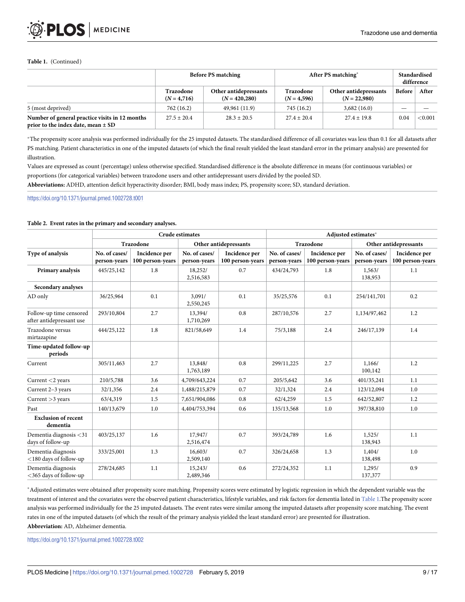#### <span id="page-8-0"></span>**Table 1.** (Continued)

|                                                                                          | <b>Before PS matching</b>  |                                          | After PS matching*         | Standardised<br>difference              |        |         |
|------------------------------------------------------------------------------------------|----------------------------|------------------------------------------|----------------------------|-----------------------------------------|--------|---------|
|                                                                                          | Trazodone<br>$(N = 4,716)$ | Other antidepressants<br>$(N = 420,280)$ | Trazodone<br>$(N = 4,596)$ | Other antidepressants<br>$(N = 22,980)$ | Before | After   |
| 5 (most deprived)                                                                        | 762 (16.2)                 | 49,961 (11.9)                            | 745 (16.2)                 | 3,682(16.0)                             |        |         |
| Number of general practice visits in 12 months<br>prior to the index date, mean $\pm$ SD | $27.5 \pm 20.4$            | $28.3 + 20.5$                            | $27.4 \pm 20.4$            | $27.4 \pm 19.8$                         | 0.04   | < 0.001 |

�The propensity score analysis was performed individually for the 25 imputed datasets. The standardised difference of all covariates was less than 0.1 for all datasets after PS matching. Patient characteristics in one of the imputed datasets (of which the final result yielded the least standard error in the primary analysis) are presented for illustration.

Values are expressed as count (percentage) unless otherwise specified. Standardised difference is the absolute difference in means (for continuous variables) or proportions (for categorical variables) between trazodone users and other antidepressant users divided by the pooled SD.

**Abbreviations:** ADHD, attention deficit hyperactivity disorder; BMI, body mass index; PS, propensity score; SD, standard deviation.

<https://doi.org/10.1371/journal.pmed.1002728.t001>

#### **[Table](#page-6-0) 2. Event rates in the primary and secondary analyses.**

|                                                     | <b>Crude estimates</b>        |                                   |                               |                                   | Adjusted estimates*           |                                   |                               |                                   |
|-----------------------------------------------------|-------------------------------|-----------------------------------|-------------------------------|-----------------------------------|-------------------------------|-----------------------------------|-------------------------------|-----------------------------------|
|                                                     |                               | Trazodone                         |                               | Other antidepressants             |                               | Trazodone                         |                               | Other antidepressants             |
| Type of analysis                                    | No. of cases/<br>person-years | Incidence per<br>100 person-years | No. of cases/<br>person-years | Incidence per<br>100 person-years | No. of cases/<br>person-years | Incidence per<br>100 person-years | No. of cases/<br>person-years | Incidence per<br>100 person-years |
| Primary analysis                                    | 445/25,142                    | 1.8                               | 18,252/<br>2,516,583          | 0.7                               | 434/24,793                    | 1.8                               | 1,563/<br>138,953             | 1.1                               |
| Secondary analyses                                  |                               |                                   |                               |                                   |                               |                                   |                               |                                   |
| AD only                                             | 36/25,964                     | 0.1                               | 3,091/<br>2,550,245           | 0.1                               | 35/25,576                     | 0.1                               | 254/141,701                   | 0.2                               |
| Follow-up time censored<br>after antidepressant use | 293/10,804                    | 2.7                               | 13,394/<br>1,710,269          | 0.8                               | 287/10,576                    | 2.7                               | 1,134/97,462                  | 1.2                               |
| Trazodone versus<br>mirtazapine                     | 444/25,122                    | 1.8                               | 821/58,649                    | 1.4                               | 75/3,188                      | 2.4                               | 246/17,139                    | 1.4                               |
| Time-updated follow-up<br>periods                   |                               |                                   |                               |                                   |                               |                                   |                               |                                   |
| Current                                             | 305/11,463                    | 2.7                               | 13,848/<br>1,763,189          | 0.8                               | 299/11,225                    | 2.7                               | 1,166/<br>100,142             | 1.2                               |
| Current $<$ 2 years                                 | 210/5,788                     | 3.6                               | 4,709/643,224                 | 0.7                               | 205/5,642                     | 3.6                               | 401/35,241                    | 1.1                               |
| Current 2-3 years                                   | 32/1,356                      | 2.4                               | 1,488/215,879                 | 0.7                               | 32/1,324                      | 2.4                               | 123/12,094                    | 1.0                               |
| Current $>$ 3 years                                 | 63/4,319                      | 1.5                               | 7,651/904,086                 | 0.8                               | 62/4,259                      | 1.5                               | 642/52,807                    | 1.2                               |
| Past                                                | 140/13,679                    | 1.0                               | 4,404/753,394                 | 0.6                               | 135/13,568                    | 1.0                               | 397/38,810                    | 1.0                               |
| <b>Exclusion of recent</b><br>dementia              |                               |                                   |                               |                                   |                               |                                   |                               |                                   |
| Dementia diagnosis <31<br>days of follow-up         | 403/25,137                    | 1.6                               | 17,947/<br>2,516,474          | 0.7                               | 393/24,789                    | 1.6                               | 1,525/<br>138,943             | 1.1                               |
| Dementia diagnosis<br>$<$ 180 days of follow-up     | 333/25,001                    | 1.3                               | 16,603/<br>2,509,140          | 0.7                               | 326/24,658                    | 1.3                               | 1,404/<br>138,498             | 1.0                               |
| Dementia diagnosis<br><365 days of follow-up        | 278/24,685                    | 1.1                               | 15,243/<br>2,489,346          | 0.6                               | 272/24,352                    | 1.1                               | 1,295/<br>137,377             | 0.9                               |

\*Adjusted estimates were obtained after propensity score matching. Propensity scores were estimated by logistic regression in which the dependent variable was the treatment of interest and the covariates were the observed patient characteristics, lifestyle variables, and risk factors for dementia listed in [Table](#page-7-0) 1. The propensity score analysis was performed individually for the 25 imputed datasets. The event rates were similar among the imputed datasets after propensity score matching. The event rates in one of the imputed datasets (of which the result of the primary analysis yielded the least standard error) are presented for illustration. **Abbreviation:** AD, Alzheimer dementia.

<https://doi.org/10.1371/journal.pmed.1002728.t002>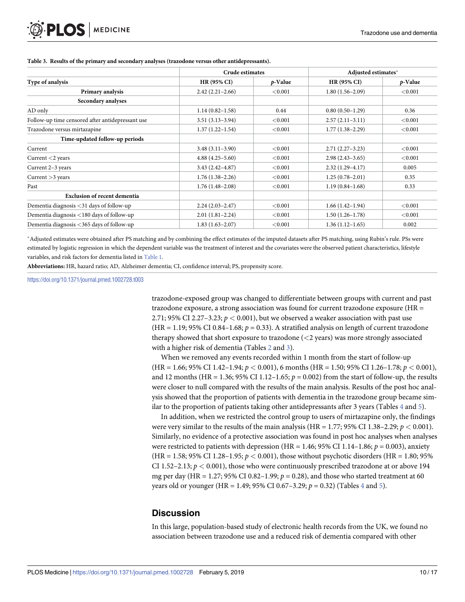|                                                  | <b>Crude estimates</b> |            | Adjusted estimates* |            |  |
|--------------------------------------------------|------------------------|------------|---------------------|------------|--|
| Type of analysis                                 | <b>HR (95% CI)</b>     | $p$ -Value | <b>HR (95% CI)</b>  | $p$ -Value |  |
| Primary analysis                                 | $2.42(2.21-2.66)$      | < 0.001    | $1.80(1.56-2.09)$   | < 0.001    |  |
| Secondary analyses                               |                        |            |                     |            |  |
| AD only                                          | $1.14(0.82 - 1.58)$    | 0.44       | $0.80(0.50-1.29)$   | 0.36       |  |
| Follow-up time censored after antidepressant use | $3.51(3.13 - 3.94)$    | < 0.001    | $2.57(2.11-3.11)$   | < 0.001    |  |
| Trazodone versus mirtazapine                     | $1.37(1.22 - 1.54)$    | < 0.001    | $1.77(1.38-2.29)$   | < 0.001    |  |
| Time-updated follow-up periods                   |                        |            |                     |            |  |
| Current                                          | $3.48(3.11 - 3.90)$    | < 0.001    | $2.71(2.27-3.23)$   | < 0.001    |  |
| Current $<$ 2 years                              | $4.88(4.25-5.60)$      | < 0.001    | $2.98(2.43-3.65)$   | < 0.001    |  |
| Current 2–3 years                                | $3.43(2.42 - 4.87)$    | < 0.001    | $2.32(1.29-4.17)$   | 0.005      |  |
| Current $>3$ years                               | $1.76(1.38-2.26)$      | ${<}0.001$ | $1.25(0.78-2.01)$   | 0.35       |  |
| Past                                             | $1.76(1.48 - 2.08)$    | < 0.001    | $1.19(0.84 - 1.68)$ | 0.33       |  |
| <b>Exclusion of recent dementia</b>              |                        |            |                     |            |  |
| Dementia diagnosis <31 days of follow-up         | $2.24(2.03-2.47)$      | < 0.001    | $1.66(1.42 - 1.94)$ | < 0.001    |  |
| Dementia diagnosis <180 days of follow-up        | $2.01(1.81-2.24)$      | < 0.001    | $1.50(1.26-1.78)$   | < 0.001    |  |
| Dementia diagnosis <365 days of follow-up        | $1.83(1.63 - 2.07)$    | < 0.001    | $1.36(1.12 - 1.65)$ | 0.002      |  |

#### <span id="page-9-0"></span>**[Table](#page-6-0) 3. Results of the primary and secondary analyses (trazodone versus other antidepressants).**

\*Adjusted estimates were obtained after PS matching and by combining the effect estimates of the imputed datasets after PS matching, using Rubin's rule. PSs were estimated by logistic regression in which the dependent variable was the treatment of interest and the covariates were the observed patient characteristics, lifestyle variables, and risk factors for dementia listed in [Table](#page-7-0) 1.

**Abbreviations:** HR, hazard ratio; AD, Alzheimer dementia; CI, confidence interval; PS, propensity score.

<https://doi.org/10.1371/journal.pmed.1002728.t003>

trazodone-exposed group was changed to differentiate between groups with current and past trazodone exposure, a strong association was found for current trazodone exposure (HR = 2.71; 95% CI 2.27-3.23;  $p < 0.001$ ), but we observed a weaker association with past use (HR = 1.19; 95% CI 0.84–1.68; *p* = 0.33). A stratified analysis on length of current trazodone therapy showed that short exposure to trazodone (*<*2 years) was more strongly associated with a higher risk of dementia (Tables [2](#page-8-0) and 3).

When we removed any events recorded within 1 month from the start of follow-up (HR = 1.66; 95% CI 1.42–1.94; *p <* 0.001), 6 months (HR = 1.50; 95% CI 1.26–1.78; *p <* 0.001), and 12 months (HR = 1.36; 95% CI 1.12–1.65;  $p = 0.002$ ) from the start of follow-up, the results were closer to null compared with the results of the main analysis. Results of the post hoc analysis showed that the proportion of patients with dementia in the trazodone group became similar to the proportion of patients taking other antidepressants after 3 years (Tables [4](#page-10-0) and [5\)](#page-11-0).

In addition, when we restricted the control group to users of mirtazapine only, the findings were very similar to the results of the main analysis (HR =  $1.77$ ; 95% CI 1.38-2.29;  $p < 0.001$ ). Similarly, no evidence of a protective association was found in post hoc analyses when analyses were restricted to patients with depression (HR =  $1.46$ ;  $95\%$  CI  $1.14-1.86$ ;  $p = 0.003$ ), anxiety (HR = 1.58; 95% CI 1.28–1.95; *p <* 0.001), those without psychotic disorders (HR = 1.80; 95% CI 1.52–2.13;  $p < 0.001$ ), those who were continuously prescribed trazodone at or above 194 mg per day (HR = 1.27; 95% CI 0.82–1.99; *p* = 0.28), and those who started treatment at 60 years old or younger (HR = 1.[4](#page-10-0)9; 9[5](#page-11-0)% CI 0.67–3.29;  $p = 0.32$ ) (Tables  $4$  and 5).

#### **Discussion**

In this large, population-based study of electronic health records from the UK, we found no association between trazodone use and a reduced risk of dementia compared with other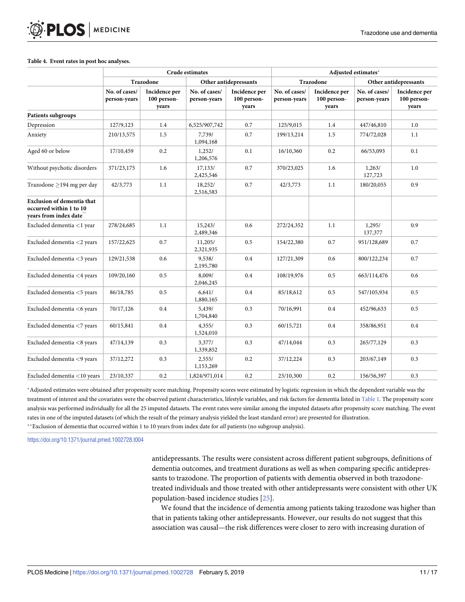#### <span id="page-10-0"></span>**[Table](#page-9-0) 4. Event rates in post hoc analyses.**

|                                                                                       |                               |                                       | <b>Crude estimates</b>        |                                       | Adjusted estimates*           |                                       |                               |                                       |
|---------------------------------------------------------------------------------------|-------------------------------|---------------------------------------|-------------------------------|---------------------------------------|-------------------------------|---------------------------------------|-------------------------------|---------------------------------------|
|                                                                                       |                               | Trazodone                             |                               | Other antidepressants                 |                               | Trazodone                             |                               | Other antidepressants                 |
|                                                                                       | No. of cases/<br>person-years | Incidence per<br>100 person-<br>years | No. of cases/<br>person-years | Incidence per<br>100 person-<br>years | No. of cases/<br>person-years | Incidence per<br>100 person-<br>years | No. of cases/<br>person-years | Incidence per<br>100 person-<br>years |
| Patients subgroups                                                                    |                               |                                       |                               |                                       |                               |                                       |                               |                                       |
| Depression                                                                            | 127/9,123                     | 1.4                                   | 6,525/907,742                 | 0.7                                   | 125/9,015                     | 1.4                                   | 447/46,810                    | 1.0                                   |
| Anxiety                                                                               | 210/13,575                    | 1.5                                   | 7,739/<br>1,094,168           | 0.7                                   | 199/13,214                    | 1.5                                   | 774/72,028                    | 1.1                                   |
| Aged 60 or below                                                                      | 17/10,459                     | 0.2                                   | 1,252/<br>1,206,576           | 0.1                                   | 16/10,360                     | 0.2                                   | 66/53,093                     | 0.1                                   |
| Without psychotic disorders                                                           | 371/23,175                    | 1.6                                   | 17,133/<br>2,425,546          | 0.7                                   | 370/23,025                    | 1.6                                   | 1,263/<br>127,723             | 1.0                                   |
| Trazodone ≥194 mg per day                                                             | 42/3,773                      | 1.1                                   | 18,252/<br>2,516,583          | 0.7                                   | 42/3,773                      | 1.1                                   | 180/20,055                    | 0.9                                   |
| <b>Exclusion of dementia that</b><br>occurred within 1 to 10<br>years from index date |                               |                                       |                               |                                       |                               |                                       |                               |                                       |
| Excluded dementia <1 year                                                             | 278/24,685                    | 1.1                                   | 15,243/<br>2,489,346          | 0.6                                   | 272/24,352                    | 1.1                                   | 1,295/<br>137,377             | 0.9                                   |
| Excluded dementia <2 years                                                            | 157/22,625                    | 0.7                                   | 11,205/<br>2,321,935          | 0.5                                   | 154/22,380                    | 0.7                                   | 951/128,689                   | 0.7                                   |
| Excluded dementia <3 years                                                            | 129/21,538                    | 0.6                                   | 9,538/<br>2,195,780           | 0.4                                   | 127/21,309                    | 0.6                                   | 800/122,234                   | 0.7                                   |
| Excluded dementia <4 years                                                            | 109/20,160                    | 0.5                                   | 8,009/<br>2,046,245           | 0.4                                   | 108/19,976                    | 0.5                                   | 663/114,476                   | 0.6                                   |
| Excluded dementia <5 years                                                            | 86/18,785                     | 0.5                                   | 6,641/<br>1,880,165           | 0.4                                   | 85/18,612                     | 0.5                                   | 547/105,934                   | 0.5                                   |
| Excluded dementia <6 years                                                            | 70/17,126                     | 0.4                                   | 5,439/<br>1,704,840           | 0.3                                   | 70/16,991                     | 0.4                                   | 452/96,633                    | 0.5                                   |
| Excluded dementia <7 years                                                            | 60/15,841                     | 0.4                                   | 4,355/<br>1,524,010           | 0.3                                   | 60/15,721                     | 0.4                                   | 358/86,951                    | 0.4                                   |
| Excluded dementia <8 years                                                            | 47/14,139                     | 0.3                                   | 3,377/<br>1,339,852           | 0.3                                   | 47/14,044                     | 0.3                                   | 265/77,129                    | 0.3                                   |
| Excluded dementia <9 years                                                            | 37/12,272                     | 0.3                                   | 2,555/<br>1,153,269           | 0.2                                   | 37/12,224                     | 0.3                                   | 203/67,149                    | 0.3                                   |
| Excluded dementia <10 years                                                           | 23/10,337                     | 0.2                                   | 1,824/971,014                 | 0.2                                   | 23/10,300                     | 0.2                                   | 156/56,397                    | 0.3                                   |

\*Adjusted estimates were obtained after propensity score matching. Propensity scores were estimated by logistic regression in which the dependent variable was the treatment of interest and the covariates were the observed patient characteristics, lifestyle variables, and risk factors for dementia listed in [Table](#page-7-0) 1. The propensity score analysis was performed individually for all the 25 imputed datasets. The event rates were similar among the imputed datasets after propensity score matching. The event rates in one of the imputed datasets (of which the result of the primary analysis yielded the least standard error) are presented for illustration. ��Exclusion of dementia that occurred within 1 to 10 years from index date for *all* patients (no subgroup analysis).

<https://doi.org/10.1371/journal.pmed.1002728.t004>

antidepressants. The results were consistent across different patient subgroups, definitions of dementia outcomes, and treatment durations as well as when comparing specific antidepressants to trazodone. The proportion of patients with dementia observed in both trazodonetreated individuals and those treated with other antidepressants were consistent with other UK population-based incidence studies [[25](#page-15-0)].

We found that the incidence of dementia among patients taking trazodone was higher than that in patients taking other antidepressants. However, our results do not suggest that this association was causal—the risk differences were closer to zero with increasing duration of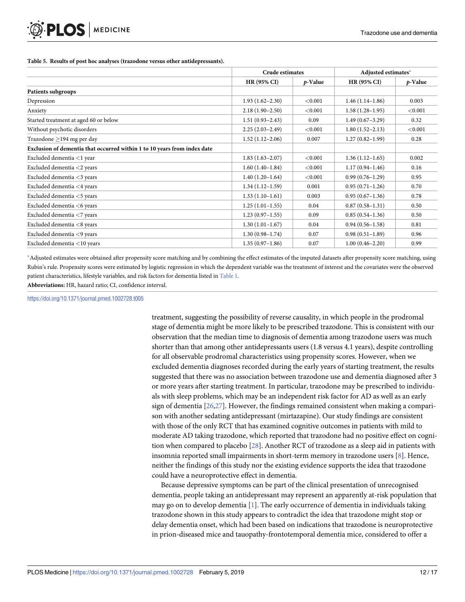<span id="page-11-0"></span>

|  |  | Table 5. Results of post hoc analyses (trazodone versus other antidepressants). |
|--|--|---------------------------------------------------------------------------------|
|--|--|---------------------------------------------------------------------------------|

|                                                                          | <b>Crude estimates</b> |            | Adjusted estimates* |            |
|--------------------------------------------------------------------------|------------------------|------------|---------------------|------------|
|                                                                          | HR (95% CI)            | $p$ -Value | HR (95% CI)         | $p$ -Value |
| Patients subgroups                                                       |                        |            |                     |            |
| Depression                                                               | $1.93(1.62 - 2.30)$    | < 0.001    | $1.46(1.14-1.86)$   | 0.003      |
| Anxiety                                                                  | $2.18(1.90-2.50)$      | < 0.001    | $1.58(1.28-1.95)$   | < 0.001    |
| Started treatment at aged 60 or below                                    | $1.51(0.93 - 2.43)$    | 0.09       | $1.49(0.67-3.29)$   | 0.32       |
| Without psychotic disorders                                              | $2.25(2.03-2.49)$      | < 0.001    | $1.80(1.52 - 2.13)$ | < 0.001    |
| Trazodone >194 mg per day                                                | $1.52(1.12-2.06)$      | 0.007      | $1.27(0.82 - 1.99)$ | 0.28       |
| Exclusion of dementia that occurred within 1 to 10 years from index date |                        |            |                     |            |
| Excluded dementia <1 year                                                | $1.83(1.63 - 2.07)$    | < 0.001    | $1.36(1.12-1.65)$   | 0.002      |
| Excluded dementia <2 years                                               | $1.60(1.40-1.84)$      | < 0.001    | $1.17(0.94 - 1.46)$ | 0.16       |
| Excluded dementia <3 years                                               | $1.40(1.20-1.64)$      | < 0.001    | $0.99(0.76 - 1.29)$ | 0.95       |
| Excluded dementia <4 years                                               | $1.34(1.12-1.59)$      | 0.001      | $0.95(0.71-1.26)$   | 0.70       |
| Excluded dementia <5 years                                               | $1.33(1.10-1.61)$      | 0.003      | $0.95(0.67-1.36)$   | 0.78       |
| Excluded dementia <6 years                                               | $1.25(1.01-1.55)$      | 0.04       | $0.87(0.58 - 1.31)$ | 0.50       |
| Excluded dementia <7 years                                               | $1.23(0.97-1.55)$      | 0.09       | $0.85(0.54-1.36)$   | 0.50       |
| Excluded dementia <8 years                                               | $1.30(1.01-1.67)$      | 0.04       | $0.94(0.56 - 1.58)$ | 0.81       |
| Excluded dementia <9 years                                               | $1.30(0.98-1.74)$      | 0.07       | $0.98(0.51-1.89)$   | 0.96       |
| Excluded dementia <10 years                                              | $1.35(0.97-1.86)$      | 0.07       | $1.00(0.46 - 2.20)$ | 0.99       |

\*Adjusted estimates were obtained after propensity score matching and by combining the effect estimates of the imputed datasets after propensity score matching, using Rubin's rule. Propensity scores were estimated by logistic regression in which the dependent variable was the treatment of interest and the covariates were the observed patient characteristics, lifestyle variables, and risk factors for dementia listed in [Table](#page-7-0) 1.

**Abbreviations:** HR, hazard ratio; CI, confidence interval.

<https://doi.org/10.1371/journal.pmed.1002728.t005>

treatment, suggesting the possibility of reverse causality, in which people in the prodromal stage of dementia might be more likely to be prescribed trazodone. This is consistent with our observation that the median time to diagnosis of dementia among trazodone users was much shorter than that among other antidepressants users (1.8 versus 4.1 years), despite controlling for all observable prodromal characteristics using propensity scores. However, when we excluded dementia diagnoses recorded during the early years of starting treatment, the results suggested that there was no association between trazodone use and dementia diagnosed after 3 or more years after starting treatment. In particular, trazodone may be prescribed to individuals with sleep problems, which may be an independent risk factor for AD as well as an early sign of dementia [[26](#page-15-0),[27](#page-15-0)]. However, the findings remained consistent when making a comparison with another sedating antidepressant (mirtazapine). Our study findings are consistent with those of the only RCT that has examined cognitive outcomes in patients with mild to moderate AD taking trazodone, which reported that trazodone had no positive effect on cognition when compared to placebo [\[28\]](#page-15-0). Another RCT of trazodone as a sleep aid in patients with insomnia reported small impairments in short-term memory in trazodone users [\[8\]](#page-14-0). Hence, neither the findings of this study nor the existing evidence supports the idea that trazodone could have a neuroprotective effect in dementia.

Because depressive symptoms can be part of the clinical presentation of unrecognised dementia, people taking an antidepressant may represent an apparently at-risk population that may go on to develop dementia [\[1](#page-14-0)]. The early occurrence of dementia in individuals taking trazodone shown in this study appears to contradict the idea that trazodone might stop or delay dementia onset, which had been based on indications that trazodone is neuroprotective in prion-diseased mice and tauopathy-frontotemporal dementia mice, considered to offer a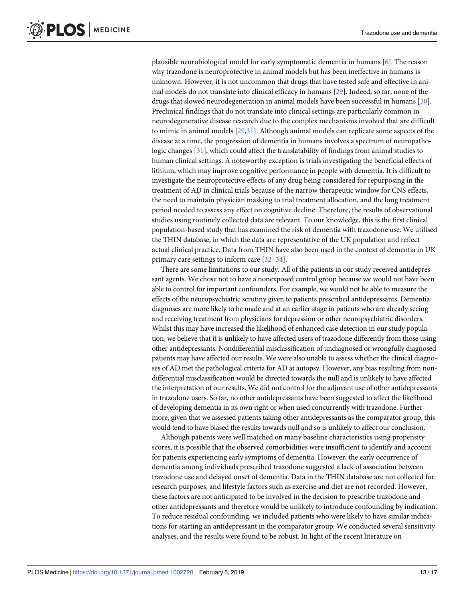<span id="page-12-0"></span>plausible neurobiological model for early symptomatic dementia in humans [[6\]](#page-14-0). The reason why trazodone is neuroprotective in animal models but has been ineffective in humans is unknown. However, it is not uncommon that drugs that have tested safe and effective in animal models do not translate into clinical efficacy in humans [\[29\]](#page-15-0). Indeed, so far, none of the drugs that slowed neurodegeneration in animal models have been successful in humans [\[30\]](#page-15-0). Preclinical findings that do not translate into clinical settings are particularly common in neurodegenerative disease research due to the complex mechanisms involved that are difficult to mimic in animal models [[29](#page-15-0),[31](#page-15-0)]. Although animal models can replicate some aspects of the disease at a time, the progression of dementia in humans involves a spectrum of neuropathologic changes [[31](#page-15-0)], which could affect the translatability of findings from animal studies to human clinical settings. A noteworthy exception is trials investigating the beneficial effects of lithium, which may improve cognitive performance in people with dementia. It is difficult to investigate the neuroprotective effects of any drug being considered for repurposing in the treatment of AD in clinical trials because of the narrow therapeutic window for CNS effects, the need to maintain physician masking to trial treatment allocation, and the long treatment period needed to assess any effect on cognitive decline. Therefore, the results of observational studies using routinely collected data are relevant. To our knowledge, this is the first clinical population-based study that has examined the risk of dementia with trazodone use. We utilised the THIN database, in which the data are representative of the UK population and reflect actual clinical practice. Data from THIN have also been used in the context of dementia in UK primary care settings to inform care [\[32–](#page-15-0)[34](#page-16-0)].

There are some limitations to our study. All of the patients in our study received antidepressant agents. We chose not to have a nonexposed control group because we would not have been able to control for important confounders. For example, we would not be able to measure the effects of the neuropsychiatric scrutiny given to patients prescribed antidepressants. Dementia diagnoses are more likely to be made and at an earlier stage in patients who are already seeing and receiving treatment from physicians for depression or other neuropsychiatric disorders. Whilst this may have increased the likelihood of enhanced case detection in our study population, we believe that it is unlikely to have affected users of trazodone differently from those using other antidepressants. Nondifferential misclassification of undiagnosed or wrongfully diagnosed patients may have affected our results. We were also unable to assess whether the clinical diagnoses of AD met the pathological criteria for AD at autopsy. However, any bias resulting from nondifferential misclassification would be directed towards the null and is unlikely to have affected the interpretation of our results. We did not control for the adjuvant use of other antidepressants in trazodone users. So far, no other antidepressants have been suggested to affect the likelihood of developing dementia in its own right or when used concurrently with trazodone. Furthermore, given that we assessed patients taking other antidepressants as the comparator group, this would tend to have biased the results towards null and so is unlikely to affect our conclusion.

Although patients were well matched on many baseline characteristics using propensity scores, it is possible that the observed comorbidities were insufficient to identify and account for patients experiencing early symptoms of dementia. However, the early occurrence of dementia among individuals prescribed trazodone suggested a lack of association between trazodone use and delayed onset of dementia. Data in the THIN database are not collected for research purposes, and lifestyle factors such as exercise and diet are not recorded. However, these factors are not anticipated to be involved in the decision to prescribe trazodone and other antidepressants and therefore would be unlikely to introduce confounding by indication. To reduce residual confounding, we included patients who were likely to have similar indications for starting an antidepressant in the comparator group. We conducted several sensitivity analyses, and the results were found to be robust. In light of the recent literature on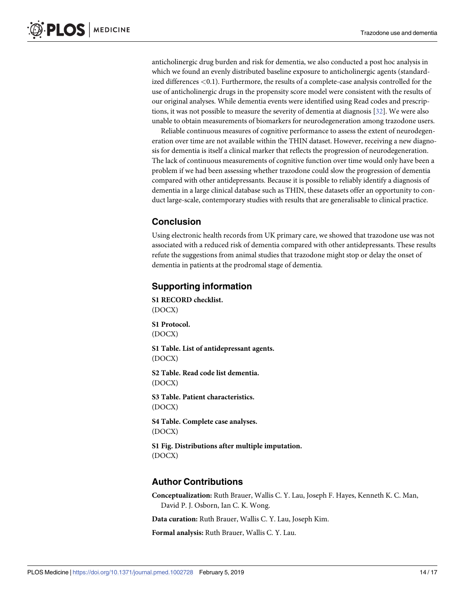<span id="page-13-0"></span>anticholinergic drug burden and risk for dementia, we also conducted a post hoc analysis in which we found an evenly distributed baseline exposure to anticholinergic agents (standardized differences *<*0.1). Furthermore, the results of a complete-case analysis controlled for the use of anticholinergic drugs in the propensity score model were consistent with the results of our original analyses. While dementia events were identified using Read codes and prescriptions, it was not possible to measure the severity of dementia at diagnosis [[32](#page-15-0)]. We were also unable to obtain measurements of biomarkers for neurodegeneration among trazodone users.

Reliable continuous measures of cognitive performance to assess the extent of neurodegeneration over time are not available within the THIN dataset. However, receiving a new diagnosis for dementia is itself a clinical marker that reflects the progression of neurodegeneration. The lack of continuous measurements of cognitive function over time would only have been a problem if we had been assessing whether trazodone could slow the progression of dementia compared with other antidepressants. Because it is possible to reliably identify a diagnosis of dementia in a large clinical database such as THIN, these datasets offer an opportunity to conduct large-scale, contemporary studies with results that are generalisable to clinical practice.

#### **Conclusion**

Using electronic health records from UK primary care, we showed that trazodone use was not associated with a reduced risk of dementia compared with other antidepressants. These results refute the suggestions from animal studies that trazodone might stop or delay the onset of dementia in patients at the prodromal stage of dementia.

#### **Supporting information**

**S1 [RECORD](http://journals.plos.org/plosmedicine/article/asset?unique&id=info:doi/10.1371/journal.pmed.1002728.s001) checklist.** (DOCX)

**S1 [Protocol](http://journals.plos.org/plosmedicine/article/asset?unique&id=info:doi/10.1371/journal.pmed.1002728.s002).** (DOCX)

**S1 [Table.](http://journals.plos.org/plosmedicine/article/asset?unique&id=info:doi/10.1371/journal.pmed.1002728.s003) List of antidepressant agents.** (DOCX)

**S2 [Table.](http://journals.plos.org/plosmedicine/article/asset?unique&id=info:doi/10.1371/journal.pmed.1002728.s004) Read code list dementia.** (DOCX)

**S3 [Table.](http://journals.plos.org/plosmedicine/article/asset?unique&id=info:doi/10.1371/journal.pmed.1002728.s005) Patient characteristics.** (DOCX)

**S4 [Table.](http://journals.plos.org/plosmedicine/article/asset?unique&id=info:doi/10.1371/journal.pmed.1002728.s006) Complete case analyses.** (DOCX)

**S1 [Fig](http://journals.plos.org/plosmedicine/article/asset?unique&id=info:doi/10.1371/journal.pmed.1002728.s007). Distributions after multiple imputation.** (DOCX)

#### **Author Contributions**

**Conceptualization:** Ruth Brauer, Wallis C. Y. Lau, Joseph F. Hayes, Kenneth K. C. Man, David P. J. Osborn, Ian C. K. Wong.

**Data curation:** Ruth Brauer, Wallis C. Y. Lau, Joseph Kim.

**Formal analysis:** Ruth Brauer, Wallis C. Y. Lau.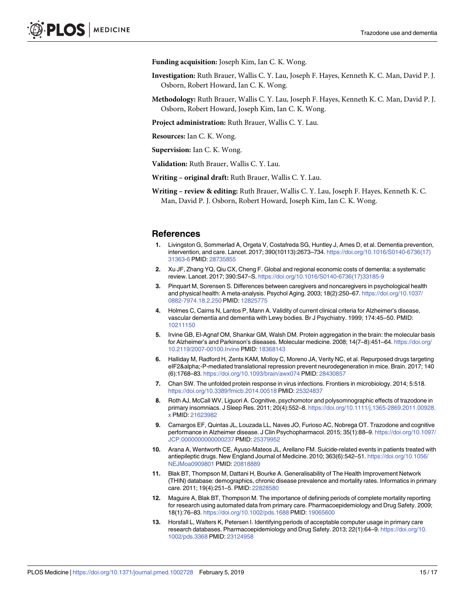<span id="page-14-0"></span>**Funding acquisition:** Joseph Kim, Ian C. K. Wong.

- **Investigation:** Ruth Brauer, Wallis C. Y. Lau, Joseph F. Hayes, Kenneth K. C. Man, David P. J. Osborn, Robert Howard, Ian C. K. Wong.
- **Methodology:** Ruth Brauer, Wallis C. Y. Lau, Joseph F. Hayes, Kenneth K. C. Man, David P. J. Osborn, Robert Howard, Joseph Kim, Ian C. K. Wong.

**Project administration:** Ruth Brauer, Wallis C. Y. Lau.

**Resources:** Ian C. K. Wong.

**Supervision:** Ian C. K. Wong.

**Validation:** Ruth Brauer, Wallis C. Y. Lau.

**Writing – original draft:** Ruth Brauer, Wallis C. Y. Lau.

**Writing – review & editing:** Ruth Brauer, Wallis C. Y. Lau, Joseph F. Hayes, Kenneth K. C. Man, David P. J. Osborn, Robert Howard, Joseph Kim, Ian C. K. Wong.

#### **References**

- **[1](#page-2-0).** Livingston G, Sommerlad A, Orgeta V, Costafreda SG, Huntley J, Ames D, et al. Dementia prevention, intervention, and care. Lancet. 2017; 390(10113):2673–734. [https://doi.org/10.1016/S0140-6736\(17\)](https://doi.org/10.1016/S0140-6736(17)31363-6) [31363-6](https://doi.org/10.1016/S0140-6736(17)31363-6) PMID: [28735855](http://www.ncbi.nlm.nih.gov/pubmed/28735855)
- **[2](#page-2-0).** Xu JF, Zhang YQ, Qiu CX, Cheng F. Global and regional economic costs of dementia: a systematic review. Lancet. 2017; 390:S47–S. [https://doi.org/10.1016/S0140-6736\(17\)33185-9](https://doi.org/10.1016/S0140-6736(17)33185-9)
- **[3](#page-2-0).** Pinquart M, Sorensen S. Differences between caregivers and noncaregivers in psychological health and physical health: A meta-analysis. Psychol Aging. 2003; 18(2):250–67. [https://doi.org/10.1037/](https://doi.org/10.1037/0882-7974.18.2.250) [0882-7974.18.2.250](https://doi.org/10.1037/0882-7974.18.2.250) PMID: [12825775](http://www.ncbi.nlm.nih.gov/pubmed/12825775)
- **[4](#page-2-0).** Holmes C, Cairns N, Lantos P, Mann A. Validity of current clinical criteria for Alzheimer's disease, vascular dementia and dementia with Lewy bodies. Br J Psychiatry. 1999; 174:45–50. PMID: [10211150](http://www.ncbi.nlm.nih.gov/pubmed/10211150)
- **[5](#page-2-0).** Irvine GB, El-Agnaf OM, Shankar GM, Walsh DM. Protein aggregation in the brain: the molecular basis for Alzheimer's and Parkinson's diseases. Molecular medicine. 2008; 14(7–8):451–64. [https://doi.org/](https://doi.org/10.2119/2007-00100.Irvine) [10.2119/2007-00100.Irvine](https://doi.org/10.2119/2007-00100.Irvine) PMID: [18368143](http://www.ncbi.nlm.nih.gov/pubmed/18368143)
- **[6](#page-2-0).** Halliday M, Radford H, Zents KAM, Molloy C, Moreno JA, Verity NC, et al. Repurposed drugs targeting eIF2α-P-mediated translational repression prevent neurodegeneration in mice. Brain. 2017; 140 (6):1768–83. <https://doi.org/10.1093/brain/awx074> PMID: [28430857](http://www.ncbi.nlm.nih.gov/pubmed/28430857)
- **[7](#page-2-0).** Chan SW. The unfolded protein response in virus infections. Frontiers in microbiology. 2014; 5:518. <https://doi.org/10.3389/fmicb.2014.00518> PMID: [25324837](http://www.ncbi.nlm.nih.gov/pubmed/25324837)
- **[8](#page-2-0).** Roth AJ, McCall WV, Liguori A. Cognitive, psychomotor and polysomnographic effects of trazodone in primary insomniacs. J Sleep Res. 2011; 20(4):552–8. [https://doi.org/10.1111/j.1365-2869.2011.00928.](https://doi.org/10.1111/j.1365-2869.2011.00928.x) [x](https://doi.org/10.1111/j.1365-2869.2011.00928.x) PMID: [21623982](http://www.ncbi.nlm.nih.gov/pubmed/21623982)
- **[9](#page-2-0).** Camargos EF, Quintas JL, Louzada LL, Naves JO, Furioso AC, Nobrega OT. Trazodone and cognitive performance in Alzheimer disease. J Clin Psychopharmacol. 2015; 35(1):88–9. [https://doi.org/10.1097/](https://doi.org/10.1097/JCP.0000000000000237) [JCP.0000000000000237](https://doi.org/10.1097/JCP.0000000000000237) PMID: [25379952](http://www.ncbi.nlm.nih.gov/pubmed/25379952)
- **[10](#page-3-0).** Arana A, Wentworth CE, Ayuso-Mateos JL, Arellano FM. Suicide-related events in patients treated with antiepileptic drugs. New England Journal of Medicine. 2010; 363(6):542–51. [https://doi.org/10.1056/](https://doi.org/10.1056/NEJMoa0909801) [NEJMoa0909801](https://doi.org/10.1056/NEJMoa0909801) PMID: [20818889](http://www.ncbi.nlm.nih.gov/pubmed/20818889)
- **[11](#page-3-0).** Blak BT, Thompson M, Dattani H, Bourke A. Generalisability of The Health Improvement Network (THIN) database: demographics, chronic disease prevalence and mortality rates. Informatics in primary care. 2011; 19(4):251–5. PMID: [22828580](http://www.ncbi.nlm.nih.gov/pubmed/22828580)
- **[12](#page-3-0).** Maguire A, Blak BT, Thompson M. The importance of defining periods of complete mortality reporting for research using automated data from primary care. Pharmacoepidemiology and Drug Safety. 2009; 18(1):76–83. <https://doi.org/10.1002/pds.1688> PMID: [19065600](http://www.ncbi.nlm.nih.gov/pubmed/19065600)
- **[13](#page-3-0).** Horsfall L, Walters K, Petersen I. Identifying periods of acceptable computer usage in primary care research databases. Pharmacoepidemiology and Drug Safety. 2013; 22(1):64–9. [https://doi.org/10.](https://doi.org/10.1002/pds.3368) [1002/pds.3368](https://doi.org/10.1002/pds.3368) PMID: [23124958](http://www.ncbi.nlm.nih.gov/pubmed/23124958)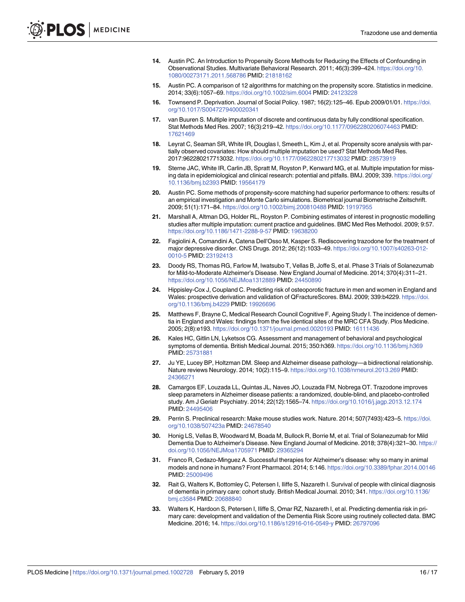- <span id="page-15-0"></span>**[14](#page-3-0).** Austin PC. An Introduction to Propensity Score Methods for Reducing the Effects of Confounding in Observational Studies. Multivariate Behavioral Research. 2011; 46(3):399–424. [https://doi.org/10.](https://doi.org/10.1080/00273171.2011.568786) [1080/00273171.2011.568786](https://doi.org/10.1080/00273171.2011.568786) PMID: [21818162](http://www.ncbi.nlm.nih.gov/pubmed/21818162)
- **[15](#page-3-0).** Austin PC. A comparison of 12 algorithms for matching on the propensity score. Statistics in medicine. 2014; 33(6):1057–69. <https://doi.org/10.1002/sim.6004> PMID: [24123228](http://www.ncbi.nlm.nih.gov/pubmed/24123228)
- **[16](#page-4-0).** Townsend P. Deprivation. Journal of Social Policy. 1987; 16(2):125–46. Epub 2009/01/01. [https://doi.](https://doi.org/10.1017/S0047279400020341) [org/10.1017/S0047279400020341](https://doi.org/10.1017/S0047279400020341)
- **[17](#page-4-0).** van Buuren S. Multiple imputation of discrete and continuous data by fully conditional specification. Stat Methods Med Res. 2007; 16(3):219–42. <https://doi.org/10.1177/0962280206074463> PMID: [17621469](http://www.ncbi.nlm.nih.gov/pubmed/17621469)
- **[18](#page-4-0).** Leyrat C, Seaman SR, White IR, Douglas I, Smeeth L, Kim J, et al. Propensity score analysis with partially observed covariates: How should multiple imputation be used? Stat Methods Med Res. 2017:962280217713032. <https://doi.org/10.1177/0962280217713032> PMID: [28573919](http://www.ncbi.nlm.nih.gov/pubmed/28573919)
- **[19](#page-4-0).** Sterne JAC, White IR, Carlin JB, Spratt M, Royston P, Kenward MG, et al. Multiple imputation for missing data in epidemiological and clinical research: potential and pitfalls. BMJ. 2009; 339. [https://doi.org/](https://doi.org/10.1136/bmj.b2393) [10.1136/bmj.b2393](https://doi.org/10.1136/bmj.b2393) PMID: [19564179](http://www.ncbi.nlm.nih.gov/pubmed/19564179)
- **[20](#page-4-0).** Austin PC. Some methods of propensity-score matching had superior performance to others: results of an empirical investigation and Monte Carlo simulations. Biometrical journal Biometrische Zeitschrift. 2009; 51(1):171–84. <https://doi.org/10.1002/bimj.200810488> PMID: [19197955](http://www.ncbi.nlm.nih.gov/pubmed/19197955)
- **[21](#page-4-0).** Marshall A, Altman DG, Holder RL, Royston P. Combining estimates of interest in prognostic modelling studies after multiple imputation: current practice and guidelines. BMC Med Res Methodol. 2009; 9:57. <https://doi.org/10.1186/1471-2288-9-57> PMID: [19638200](http://www.ncbi.nlm.nih.gov/pubmed/19638200)
- **[22](#page-5-0).** Fagiolini A, Comandini A, Catena Dell'Osso M, Kasper S. Rediscovering trazodone for the treatment of major depressive disorder. CNS Drugs. 2012; 26(12):1033–49. [https://doi.org/10.1007/s40263-012-](https://doi.org/10.1007/s40263-012-0010-5) [0010-5](https://doi.org/10.1007/s40263-012-0010-5) PMID: [23192413](http://www.ncbi.nlm.nih.gov/pubmed/23192413)
- **[23](#page-5-0).** Doody RS, Thomas RG, Farlow M, Iwatsubo T, Vellas B, Joffe S, et al. Phase 3 Trials of Solanezumab for Mild-to-Moderate Alzheimer's Disease. New England Journal of Medicine. 2014; 370(4):311–21. <https://doi.org/10.1056/NEJMoa1312889> PMID: [24450890](http://www.ncbi.nlm.nih.gov/pubmed/24450890)
- **[24](#page-5-0).** Hippisley-Cox J, Coupland C. Predicting risk of osteoporotic fracture in men and women in England and Wales: prospective derivation and validation of QFractureScores. BMJ. 2009; 339:b4229. [https://doi.](https://doi.org/10.1136/bmj.b4229) [org/10.1136/bmj.b4229](https://doi.org/10.1136/bmj.b4229) PMID: [19926696](http://www.ncbi.nlm.nih.gov/pubmed/19926696)
- **[25](#page-10-0).** Matthews F, Brayne C, Medical Research Council Cognitive F, Ageing Study I. The incidence of dementia in England and Wales: findings from the five identical sites of the MRC CFA Study. Plos Medicine. 2005; 2(8):e193. <https://doi.org/10.1371/journal.pmed.0020193> PMID: [16111436](http://www.ncbi.nlm.nih.gov/pubmed/16111436)
- **[26](#page-11-0).** Kales HC, Gitlin LN, Lyketsos CG. Assessment and management of behavioral and psychological symptoms of dementia. British Medical Journal. 2015; 350:h369. <https://doi.org/10.1136/bmj.h369> PMID: [25731881](http://www.ncbi.nlm.nih.gov/pubmed/25731881)
- **[27](#page-11-0).** Ju YE, Lucey BP, Holtzman DM. Sleep and Alzheimer disease pathology—a bidirectional relationship. Nature reviews Neurology. 2014; 10(2):115–9. <https://doi.org/10.1038/nrneurol.2013.269> PMID: [24366271](http://www.ncbi.nlm.nih.gov/pubmed/24366271)
- **[28](#page-11-0).** Camargos EF, Louzada LL, Quintas JL, Naves JO, Louzada FM, Nobrega OT. Trazodone improves sleep parameters in Alzheimer disease patients: a randomized, double-blind, and placebo-controlled study. Am J Geriatr Psychiatry. 2014; 22(12):1565–74. <https://doi.org/10.1016/j.jagp.2013.12.174> PMID: [24495406](http://www.ncbi.nlm.nih.gov/pubmed/24495406)
- **[29](#page-12-0).** Perrin S. Preclinical research: Make mouse studies work. Nature. 2014; 507(7493):423–5. [https://doi.](https://doi.org/10.1038/507423a) [org/10.1038/507423a](https://doi.org/10.1038/507423a) PMID: [24678540](http://www.ncbi.nlm.nih.gov/pubmed/24678540)
- **[30](#page-12-0).** Honig LS, Vellas B, Woodward M, Boada M, Bullock R, Borrie M, et al. Trial of Solanezumab for Mild Dementia Due to Alzheimer's Disease. New England Journal of Medicine. 2018; 378(4):321–30. [https://](https://doi.org/10.1056/NEJMoa1705971) [doi.org/10.1056/NEJMoa1705971](https://doi.org/10.1056/NEJMoa1705971) PMID: [29365294](http://www.ncbi.nlm.nih.gov/pubmed/29365294)
- **[31](#page-12-0).** Franco R, Cedazo-Minguez A. Successful therapies for Alzheimer's disease: why so many in animal models and none in humans? Front Pharmacol. 2014; 5:146. <https://doi.org/10.3389/fphar.2014.00146> PMID: [25009496](http://www.ncbi.nlm.nih.gov/pubmed/25009496)
- **[32](#page-12-0).** Rait G, Walters K, Bottomley C, Petersen I, Iliffe S, Nazareth I. Survival of people with clinical diagnosis of dementia in primary care: cohort study. British Medical Journal. 2010; 341. [https://doi.org/10.1136/](https://doi.org/10.1136/bmj.c3584) [bmj.c3584](https://doi.org/10.1136/bmj.c3584) PMID: [20688840](http://www.ncbi.nlm.nih.gov/pubmed/20688840)
- **33.** Walters K, Hardoon S, Petersen I, Iliffe S, Omar RZ, Nazareth I, et al. Predicting dementia risk in primary care: development and validation of the Dementia Risk Score using routinely collected data. BMC Medicine. 2016; 14. <https://doi.org/10.1186/s12916-016-0549-y> PMID: [26797096](http://www.ncbi.nlm.nih.gov/pubmed/26797096)